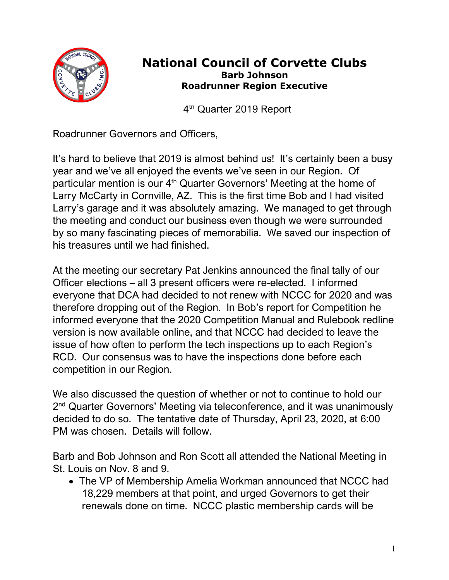

## **National Council of Corvette Clubs Barb Johnson Roadrunner Region Executive**

4<sup>th</sup> Quarter 2019 Report

Roadrunner Governors and Officers,

It's hard to believe that 2019 is almost behind us! It's certainly been a busy year and we've all enjoyed the events we've seen in our Region. Of particular mention is our 4<sup>th</sup> Quarter Governors' Meeting at the home of Larry McCarty in Cornville, AZ. This is the first time Bob and I had visited Larry's garage and it was absolutely amazing. We managed to get through the meeting and conduct our business even though we were surrounded by so many fascinating pieces of memorabilia. We saved our inspection of his treasures until we had finished.

At the meeting our secretary Pat Jenkins announced the final tally of our Officer elections – all 3 present officers were re-elected. I informed everyone that DCA had decided to not renew with NCCC for 2020 and was therefore dropping out of the Region. In Bob's report for Competition he informed everyone that the 2020 Competition Manual and Rulebook redline version is now available online, and that NCCC had decided to leave the issue of how often to perform the tech inspections up to each Region's RCD. Our consensus was to have the inspections done before each competition in our Region.

We also discussed the question of whether or not to continue to hold our 2<sup>nd</sup> Quarter Governors' Meeting via teleconference, and it was unanimously decided to do so. The tentative date of Thursday, April 23, 2020, at 6:00 PM was chosen. Details will follow.

Barb and Bob Johnson and Ron Scott all attended the National Meeting in St. Louis on Nov. 8 and 9.

• The VP of Membership Amelia Workman announced that NCCC had 18,229 members at that point, and urged Governors to get their renewals done on time. NCCC plastic membership cards will be